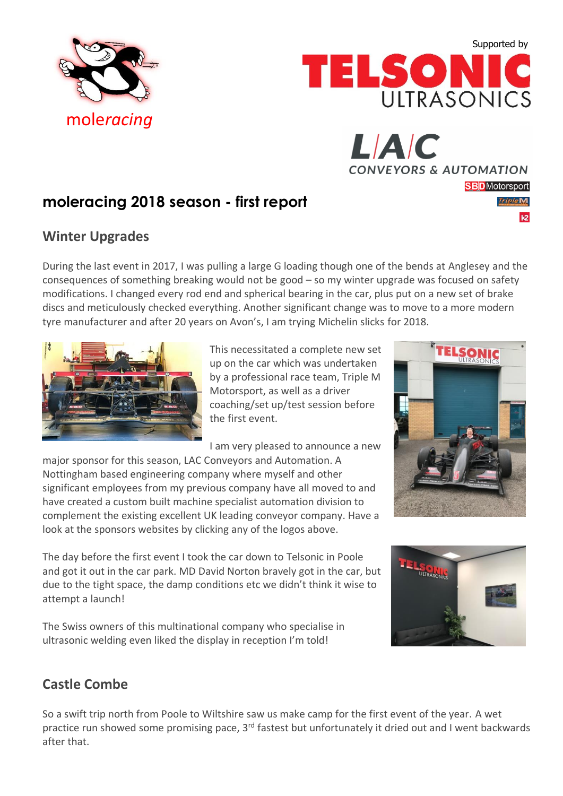





 $\overline{1}$ 

## **moleracing 2018 season - first report**

## **Winter Upgrades**

During the last event in 2017, I was pulling a large G loading though one of the bends at Anglesey and the consequences of something breaking would not be good – so my winter upgrade was focused on safety modifications. I changed every rod end and spherical bearing in the car, plus put on a new set of brake discs and meticulously checked everything. Another significant change was to move to a more modern tyre manufacturer and after 20 years on Avon's, I am trying Michelin slicks for 2018.



This necessitated a complete new set up on the car which was undertaken by a professional race team, Triple M Motorsport, as well as a driver coaching/set up/test session before the first event.

I am very pleased to announce a new

major sponsor for this season, LAC Conveyors and Automation. A Nottingham based engineering company where myself and other significant employees from my previous company have all moved to and have created a custom built machine specialist automation division to complement the existing excellent UK leading conveyor company. Have a look at the sponsors websites by clicking any of the logos above.

The day before the first event I took the car down to Telsonic in Poole and got it out in the car park. MD David Norton bravely got in the car, but due to the tight space, the damp conditions etc we didn't think it wise to attempt a launch!

The Swiss owners of this multinational company who specialise in ultrasonic welding even liked the display in reception I'm told!



## **Castle Combe**

So a swift trip north from Poole to Wiltshire saw us make camp for the first event of the year. A wet practice run showed some promising pace, 3<sup>rd</sup> fastest but unfortunately it dried out and I went backwards after that.

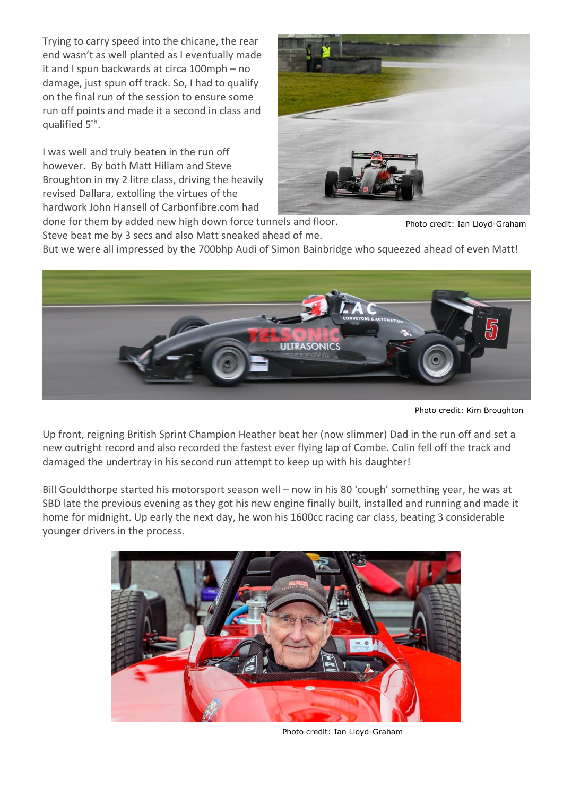Trying to carry speed into the chicane, the rear end wasn't as well planted as I eventually made it and I spun backwards at circa 100mph – no damage, just spun off track. So, I had to qualify on the final run of the session to ensure some run off points and made it a second in class and qualified 5<sup>th</sup>.

I was well and truly beaten in the run off however. By both Matt Hillam and Steve Broughton in my 2 litre class, driving the heavily revised Dallara, extolling the virtues of the hardwork John Hansell of Carbonfibre.com had



done for them by added new high down force tunnels and floor. Steve beat me by 3 secs and also Matt sneaked ahead of me.

Photo credit: Ian Lloyd-Graham

But we were all impressed by the 700bhp Audi of Simon Bainbridge who squeezed ahead of even Matt!



Photo credit: Kim Broughton

Up front, reigning British Sprint Champion Heather beat her (now slimmer) Dad in the run off and set a new outright record and also recorded the fastest ever flying lap of Combe. Colin fell off the track and damaged the undertray in his second run attempt to keep up with his daughter!

Bill Gouldthorpe started his motorsport season well – now in his 80 'cough' something year, he was at SBD late the previous evening as they got his new engine finally built, installed and running and made it home for midnight. Up early the next day, he won his 1600cc racing car class, beating 3 considerable younger drivers in the process.



Photo credit: Ian Lloyd-Graham